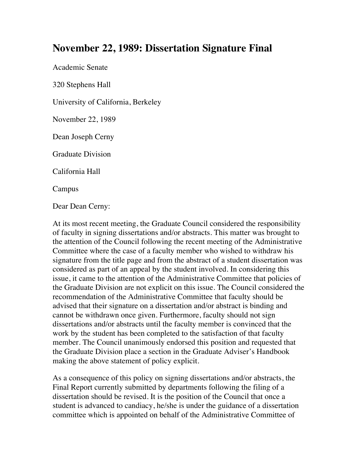## **November 22, 1989: Dissertation Signature Final**

Academic Senate

320 Stephens Hall

University of California, Berkeley

November 22, 1989

Dean Joseph Cerny

Graduate Division

California Hall

Campus

Dear Dean Cerny:

At its most recent meeting, the Graduate Council considered the responsibility of faculty in signing dissertations and/or abstracts. This matter was brought to the attention of the Council following the recent meeting of the Administrative Committee where the case of a faculty member who wished to withdraw his signature from the title page and from the abstract of a student dissertation was considered as part of an appeal by the student involved. In considering this issue, it came to the attention of the Administrative Committee that policies of the Graduate Division are not explicit on this issue. The Council considered the recommendation of the Administrative Committee that faculty should be advised that their signature on a dissertation and/or abstract is binding and cannot be withdrawn once given. Furthermore, faculty should not sign dissertations and/or abstracts until the faculty member is convinced that the work by the student has been completed to the satisfaction of that faculty member. The Council unanimously endorsed this position and requested that the Graduate Division place a section in the Graduate Adviser's Handbook making the above statement of policy explicit.

As a consequence of this policy on signing dissertations and/or abstracts, the Final Report currently submitted by departments following the filing of a dissertation should be revised. It is the position of the Council that once a student is advanced to candiacy, he/she is under the guidance of a dissertation committee which is appointed on behalf of the Administrative Committee of